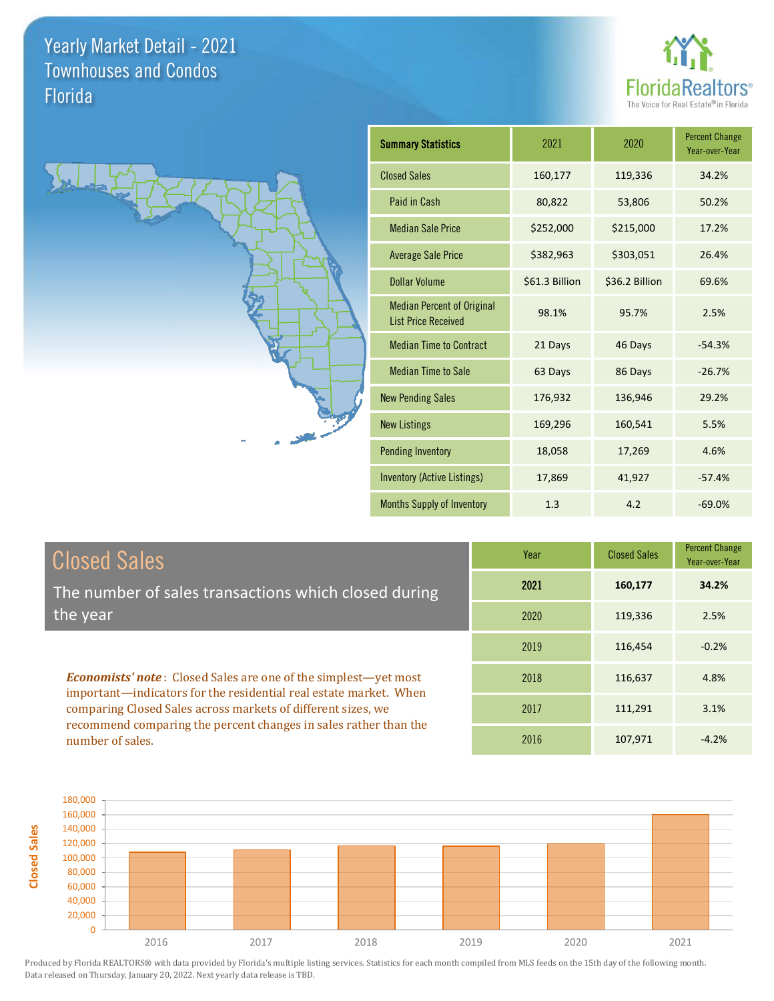



| <b>Summary Statistics</b>                                       | 2021           | 2020           | <b>Percent Change</b><br>Year-over-Year |
|-----------------------------------------------------------------|----------------|----------------|-----------------------------------------|
| <b>Closed Sales</b>                                             | 160,177        | 119,336        | 34.2%                                   |
| Paid in Cash                                                    | 80,822         | 53,806         | 50.2%                                   |
| <b>Median Sale Price</b>                                        | \$252,000      | \$215,000      | 17.2%                                   |
| <b>Average Sale Price</b>                                       | \$382,963      | \$303,051      | 26.4%                                   |
| <b>Dollar Volume</b>                                            | \$61.3 Billion | \$36.2 Billion | 69.6%                                   |
| <b>Median Percent of Original</b><br><b>List Price Received</b> | 98.1%          | 95.7%          | 2.5%                                    |
| <b>Median Time to Contract</b>                                  | 21 Days        | 46 Days        | $-54.3%$                                |
| <b>Median Time to Sale</b>                                      | 63 Days        | 86 Days        | $-26.7%$                                |
| <b>New Pending Sales</b>                                        | 176,932        | 136,946        | 29.2%                                   |
| <b>New Listings</b>                                             | 169,296        | 160,541        | 5.5%                                    |
| <b>Pending Inventory</b>                                        | 18,058         | 17,269         | 4.6%                                    |
| Inventory (Active Listings)                                     | 17,869         | 41,927         | $-57.4%$                                |
| <b>Months Supply of Inventory</b>                               | 1.3            | 4.2            | $-69.0%$                                |

| <b>Closed Sales</b>                                                                                                               | Year | <b>Closed Sales</b> | <b>Percent Change</b><br>Year-over-Year |
|-----------------------------------------------------------------------------------------------------------------------------------|------|---------------------|-----------------------------------------|
| The number of sales transactions which closed during                                                                              | 2021 | 160,177             | 34.2%                                   |
| the year                                                                                                                          | 2020 | 119,336             | 2.5%                                    |
|                                                                                                                                   | 2019 | 116,454             | $-0.2%$                                 |
| <b>Economists' note:</b> Closed Sales are one of the simplest—yet most                                                            | 2018 | 116,637             | 4.8%                                    |
| important—indicators for the residential real estate market. When<br>comparing Closed Sales across markets of different sizes, we | 2017 | 111,291             | 3.1%                                    |
| recommend comparing the percent changes in sales rather than the<br>number of sales.                                              | 2016 | 107.971             | $-4.2%$                                 |

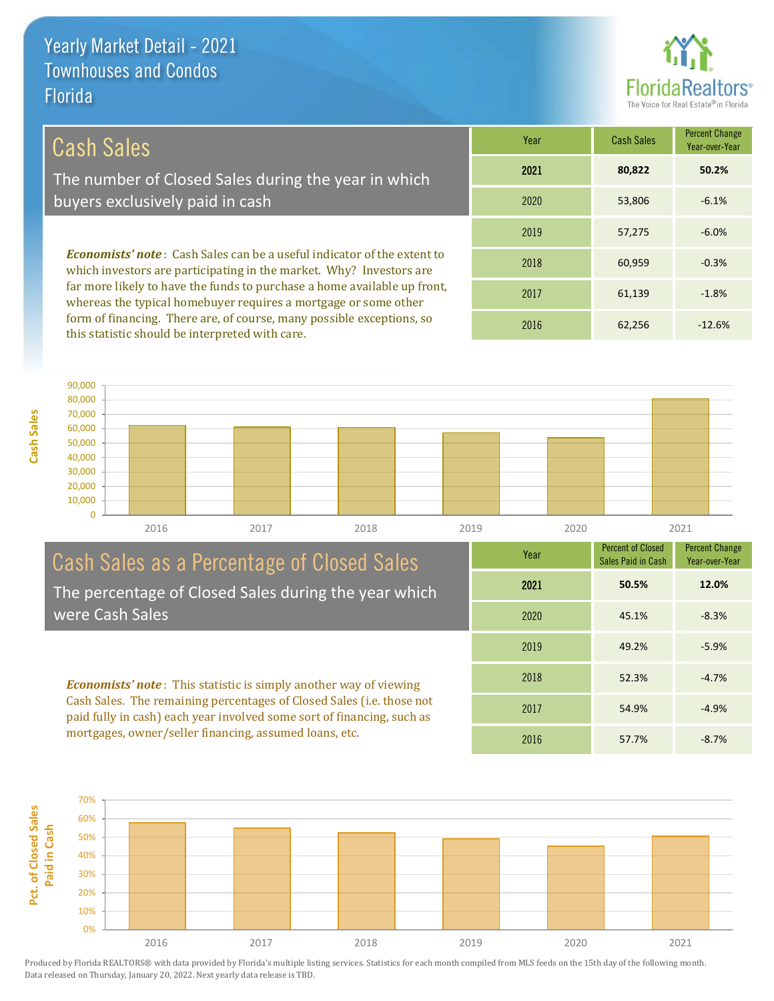

# Cash Sales

**Cash Sales**

The number of Closed Sales during the year in which buyers exclusively paid in cash

*Economists' note* : Cash Sales can be a useful indicator of the extent to which investors are participating in the market. Why? Investors are far more likely to have the funds to purchase a home available up front, whereas the typical homebuyer requires a mortgage or some other form of financing. There are, of course, many possible exceptions, so this statistic should be interpreted with care.

| Year | <b>Cash Sales</b> | <b>Percent Change</b><br>Year-over-Year |
|------|-------------------|-----------------------------------------|
| 2021 | 80,822            | 50.2%                                   |
| 2020 | 53,806            | $-6.1%$                                 |
| 2019 | 57,275            | $-6.0%$                                 |
| 2018 | 60,959            | $-0.3%$                                 |
| 2017 | 61,139            | $-1.8%$                                 |
| 2016 | 62,256            | $-12.6%$                                |



#### Cash Sales as a Percentage of Closed Sales The percentage of Closed Sales during the year which were Cash Sales

*Economists' note* : This statistic is simply another way of viewing Cash Sales. The remaining percentages of Closed Sales (i.e. those not paid fully in cash) each year involved some sort of financing, such as mortgages, owner/seller financing, assumed loans, etc.



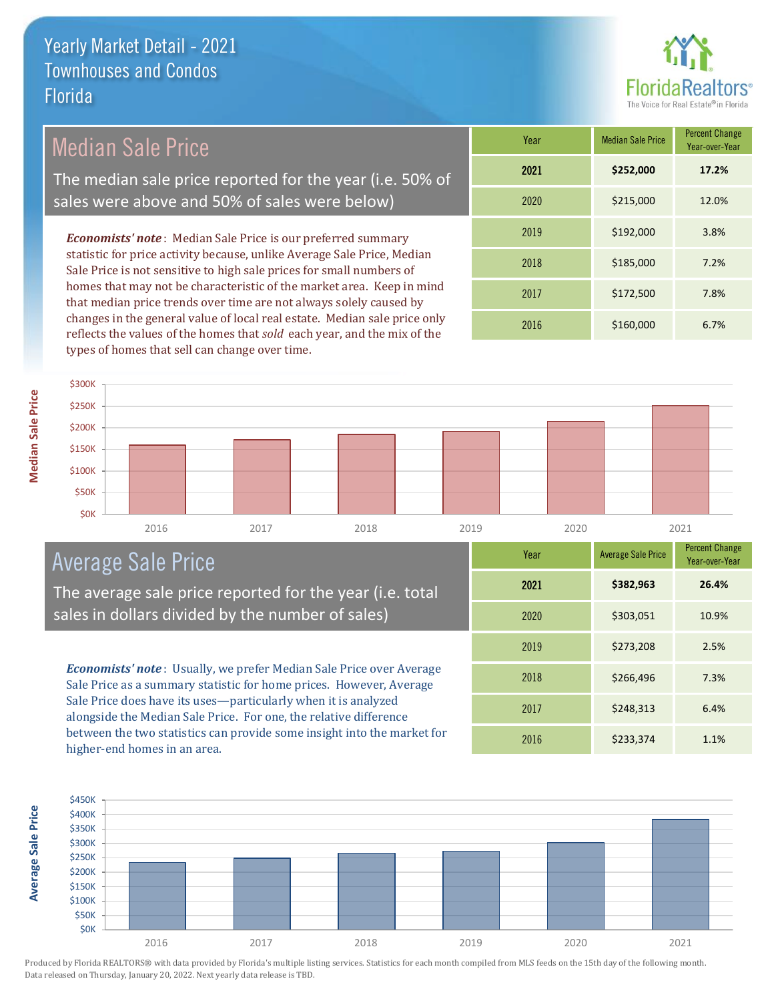

Median Sale Price

The median sale price reported for the year (i.e. 50% of sales were above and 50% of sales were below)

*Economists' note* : Median Sale Price is our preferred summary statistic for price activity because, unlike Average Sale Price, Median Sale Price is not sensitive to high sale prices for small numbers of homes that may not be characteristic of the market area. Keep in mind that median price trends over time are not always solely caused by changes in the general value of local real estate. Median sale price only reflects the values of the homes that *sold* each year, and the mix of the types of homes that sell can change over time.

| Year | <b>Median Sale Price</b> | <b>Percent Change</b><br>Year-over-Year |
|------|--------------------------|-----------------------------------------|
| 2021 | \$252,000                | 17.2%                                   |
| 2020 | \$215,000                | 12.0%                                   |
| 2019 | \$192,000                | 3.8%                                    |
| 2018 | \$185,000                | 7.2%                                    |
| 2017 | \$172,500                | 7.8%                                    |
| 2016 | \$160,000                | 6.7%                                    |

**Average Sale Price**

**Average Sale Price** 

| \$300K       |      |      |      |      |      |      |  |
|--------------|------|------|------|------|------|------|--|
| \$250K       |      |      |      |      |      |      |  |
| \$200K       |      |      |      |      |      |      |  |
| \$150K       |      |      |      |      |      |      |  |
| \$100K       |      |      |      |      |      |      |  |
| <b>\$50K</b> |      |      |      |      |      |      |  |
| \$0K         |      |      |      |      |      |      |  |
|              | 2016 | 2017 | 2018 | 2019 | 2020 | 2021 |  |

# Average Sale Price

The average sale price reported for the year (i.e. total sales in dollars divided by the number of sales)

*Economists' note* : Usually, we prefer Median Sale Price over Average Sale Price as a summary statistic for home prices. However, Average Sale Price does have its uses—particularly when it is analyzed alongside the Median Sale Price. For one, the relative difference between the two statistics can provide some insight into the market for higher-end homes in an area.

| Year | <b>Average Sale Price</b> | <b>Percent Change</b><br>Year-over-Year |
|------|---------------------------|-----------------------------------------|
| 2021 | \$382,963                 | 26.4%                                   |
| 2020 | \$303,051                 | 10.9%                                   |
| 2019 | \$273,208                 | 2.5%                                    |
| 2018 | \$266,496                 | 7.3%                                    |
| 2017 | \$248,313                 | 6.4%                                    |
| 2016 | \$233,374                 | 1.1%                                    |

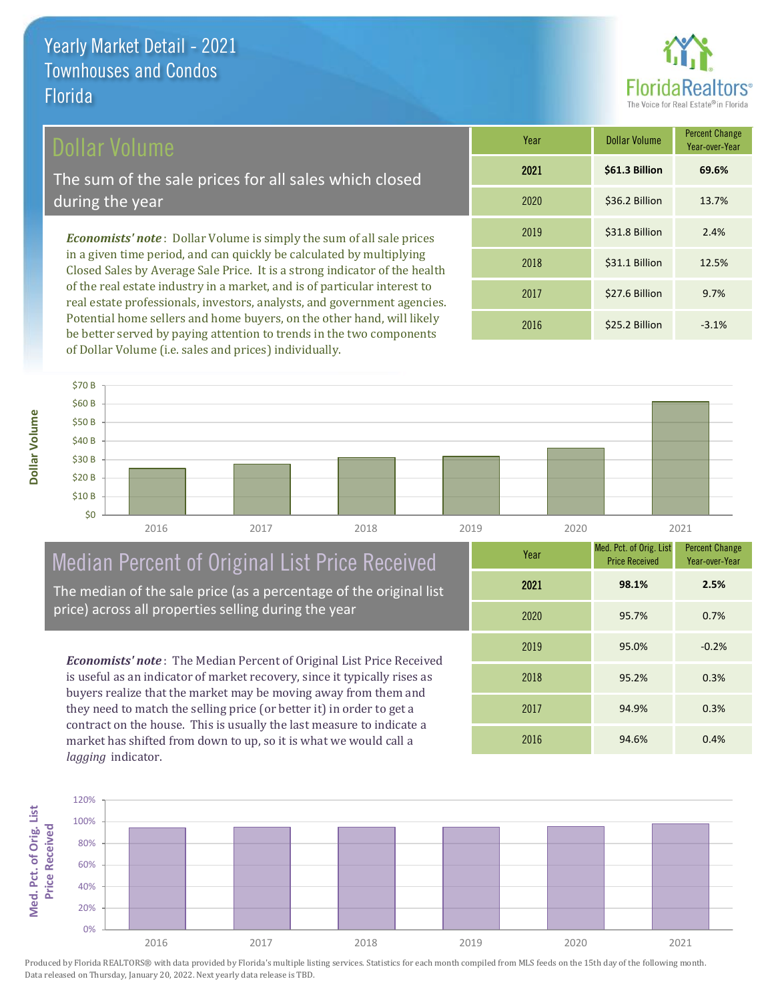### Dollar Volume

The sum of the sale prices for all sales which closed during the year

*Economists' note* : Dollar Volume is simply the sum of all sale prices in a given time period, and can quickly be calculated by multiplying Closed Sales by Average Sale Price. It is a strong indicator of the health of the real estate industry in a market, and is of particular interest to real estate professionals, investors, analysts, and government agencies. Potential home sellers and home buyers, on the other hand, will likely be better served by paying attention to trends in the two components of Dollar Volume (i.e. sales and prices) individually.

| Year | Dollar Volume  | <b>Percent Change</b><br>Year-over-Year |
|------|----------------|-----------------------------------------|
| 2021 | \$61.3 Billion | 69.6%                                   |
| 2020 | \$36.2 Billion | 13.7%                                   |
| 2019 | \$31.8 Billion | 2.4%                                    |
| 2018 | \$31.1 Billion | 12.5%                                   |
| 2017 | \$27.6 Billion | 9.7%                                    |
| 2016 | \$25.2 Billion | $-3.1%$                                 |



# Median Percent of Original List Price Received

The median of the sale price (as a percentage of the original list price) across all properties selling during the year

*Economists' note* : The Median Percent of Original List Price Received is useful as an indicator of market recovery, since it typically rises as buyers realize that the market may be moving away from them and they need to match the selling price (or better it) in order to get a contract on the house. This is usually the last measure to indicate a market has shifted from down to up, so it is what we would call a *lagging* indicator.

| Year | Med. Pct. of Orig. List<br><b>Price Received</b> | <b>Percent Change</b><br>Year-over-Year |
|------|--------------------------------------------------|-----------------------------------------|
| 2021 | 98.1%                                            | 2.5%                                    |
| 2020 | 95.7%                                            | 0.7%                                    |
| 2019 | 95.0%                                            | $-0.2%$                                 |
| 2018 | 95.2%                                            | 0.3%                                    |
| 2017 | 94.9%                                            | 0.3%                                    |
| 2016 | 94.6%                                            | 0.4%                                    |

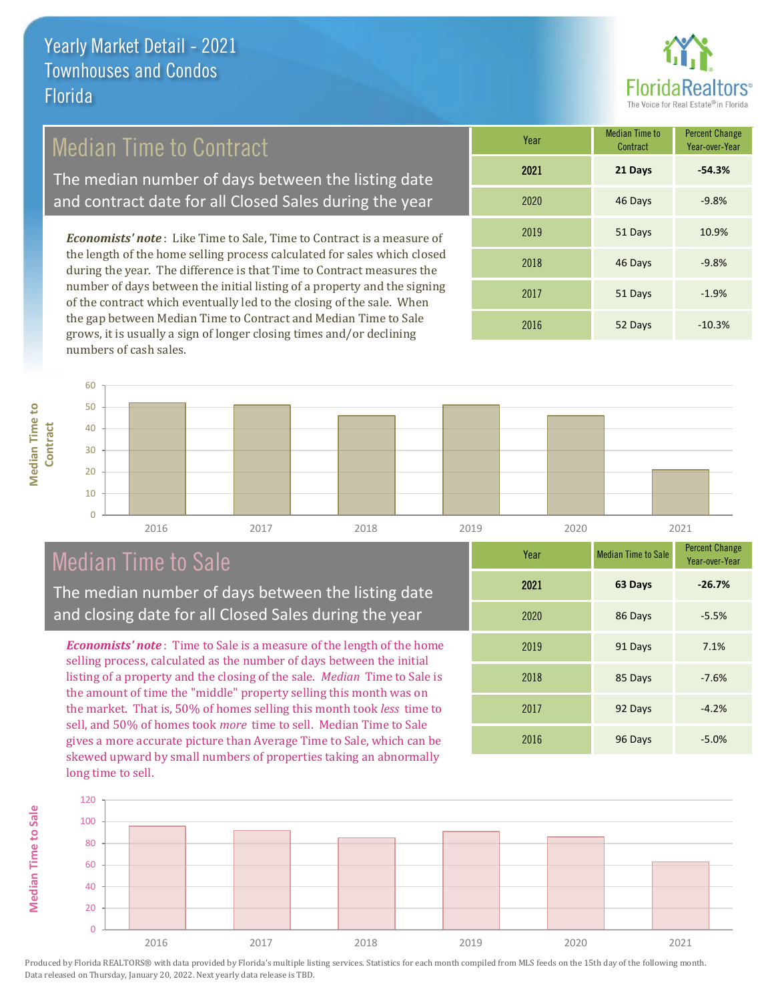

# Median Time to Contract

The median number of days between the listing date and contract date for all Closed Sales during the year

*Economists' note* : Like Time to Sale, Time to Contract is a measure of the length of the home selling process calculated for sales which closed during the year. The difference is that Time to Contract measures the number of days between the initial listing of a property and the signing of the contract which eventually led to the closing of the sale. When the gap between Median Time to Contract and Median Time to Sale grows, it is usually a sign of longer closing times and/or declining numbers of cash sales.

| Year | <b>Median Time to</b><br>Contract | <b>Percent Change</b><br>Year-over-Year |
|------|-----------------------------------|-----------------------------------------|
| 2021 | 21 Days                           | $-54.3%$                                |
| 2020 | 46 Days                           | $-9.8%$                                 |
| 2019 | 51 Days                           | 10.9%                                   |
| 2018 | 46 Days                           | $-9.8%$                                 |
| 2017 | 51 Days                           | $-1.9%$                                 |
| 2016 | 52 Days                           | $-10.3%$                                |



# Median Time to Sale

**Median Time to Sale**

**Median Time to Sale** 

**Median Time to** 

**Median Time to** 

The median number of days between the listing date and closing date for all Closed Sales during the year

*Economists' note* : Time to Sale is a measure of the length of the home selling process, calculated as the number of days between the initial listing of a property and the closing of the sale. *Median* Time to Sale is the amount of time the "middle" property selling this month was on the market. That is, 50% of homes selling this month took *less* time to sell, and 50% of homes took *more* time to sell. Median Time to Sale gives a more accurate picture than Average Time to Sale, which can be skewed upward by small numbers of properties taking an abnormally long time to sell.

| Year | <b>Median Time to Sale</b> | <b>Percent Change</b><br>Year-over-Year |
|------|----------------------------|-----------------------------------------|
| 2021 | 63 Days                    | $-26.7%$                                |
| 2020 | 86 Days                    | $-5.5%$                                 |
| 2019 | 91 Days                    | 7.1%                                    |
| 2018 | 85 Days                    | $-7.6%$                                 |
| 2017 | 92 Days                    | $-4.2%$                                 |
| 2016 | 96 Days                    | $-5.0%$                                 |

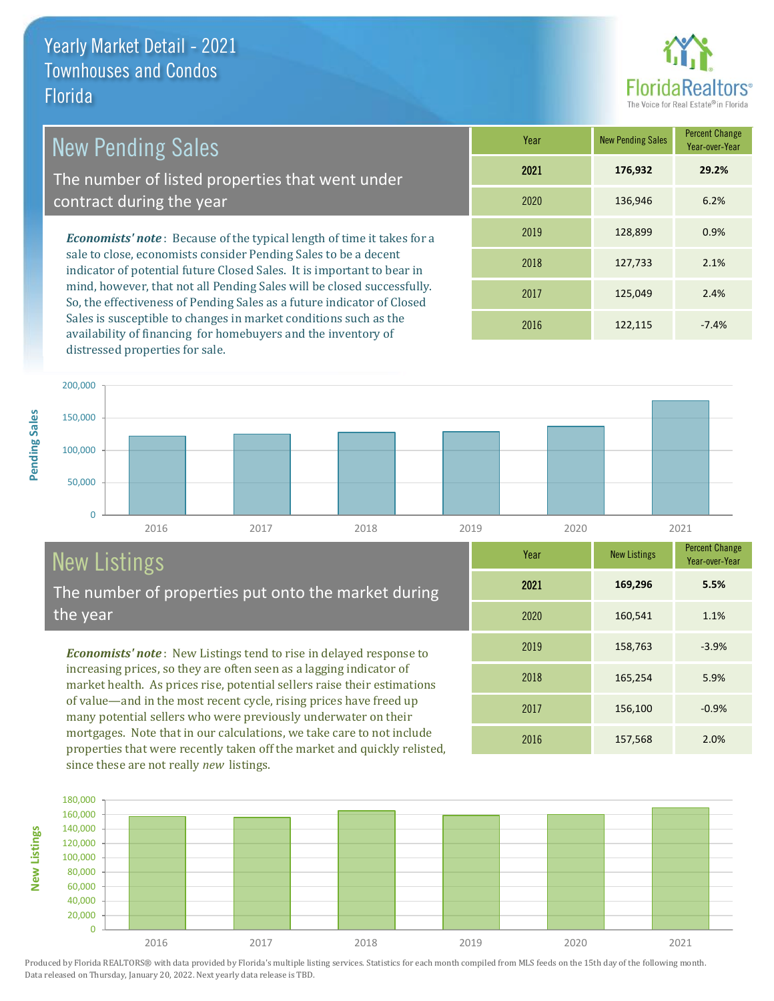

The number of listed properties that went under contract during the year

*Economists' note* : Because of the typical length of time it takes for a sale to close, economists consider Pending Sales to be a decent indicator of potential future Closed Sales. It is important to bear in mind, however, that not all Pending Sales will be closed successfully. So, the effectiveness of Pending Sales as a future indicator of Closed Sales is susceptible to changes in market conditions such as the availability of financing for homebuyers and the inventory of distressed properties for sale.

| Year | <b>New Pending Sales</b> | <b>Percent Change</b><br>Year-over-Year |
|------|--------------------------|-----------------------------------------|
| 2021 | 176,932                  | 29.2%                                   |
| 2020 | 136,946                  | 6.2%                                    |
| 2019 | 128,899                  | 0.9%                                    |
| 2018 | 127,733                  | 2.1%                                    |
| 2017 | 125,049                  | 2.4%                                    |
| 2016 | 122,115                  | $-7.4%$                                 |

2016 157,568 2.0%

2017 156,100 -0.9%

2018 165,254 5.9%

2019 158,763 -3.9%

2020 160,541 1.1%

2021 **169,296**

**Year** New Listings Percent Change

**5.5%**

Year-over-Year



# New Listings

The number of properties put onto the market during the year

*Economists' note* : New Listings tend to rise in delayed response to increasing prices, so they are often seen as a lagging indicator of market health. As prices rise, potential sellers raise their estimations of value—and in the most recent cycle, rising prices have freed up many potential sellers who were previously underwater on their mortgages. Note that in our calculations, we take care to not include properties that were recently taken off the market and quickly relisted, since these are not really *new* listings.

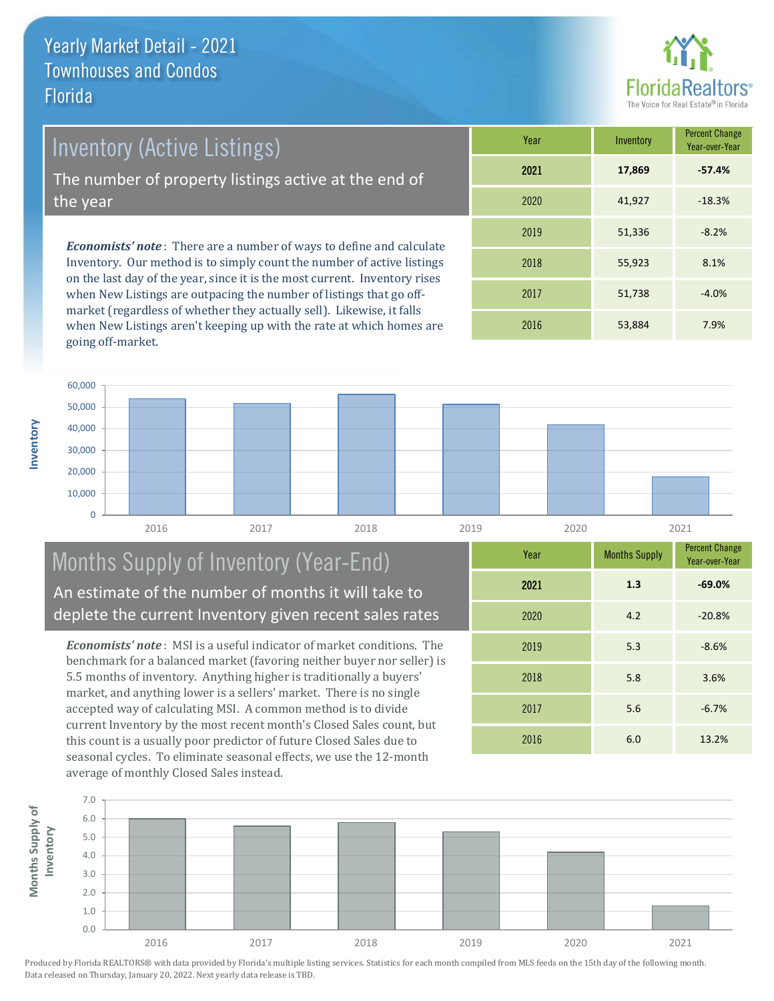

Inventory (Active Listings)

The number of property listings active at the end of the year

*Economists' note* : There are a number of ways to define and calculate Inventory. Our method is to simply count the number of active listings on the last day of the year, since it is the most current. Inventory rises when New Listings are outpacing the number of listings that go offmarket (regardless of whether they actually sell). Likewise, it falls when New Listings aren't keeping up with the rate at which homes are going off-market.

| Year | Inventory | <b>Percent Change</b><br>Year-over-Year |
|------|-----------|-----------------------------------------|
| 2021 | 17,869    | $-57.4%$                                |
| 2020 | 41,927    | $-18.3%$                                |
| 2019 | 51,336    | $-8.2%$                                 |
| 2018 | 55,923    | 8.1%                                    |
| 2017 | 51,738    | $-4.0%$                                 |
| 2016 | 53,884    | 7.9%                                    |



#### Months Supply of Inventory (Year-End) An estimate of the number of months it will take to deplete the current Inventory given recent sales rates

*Economists' note* : MSI is a useful indicator of market conditions. The benchmark for a balanced market (favoring neither buyer nor seller) is 5.5 months of inventory. Anything higher is traditionally a buyers' market, and anything lower is a sellers' market. There is no single accepted way of calculating MSI. A common method is to divide current Inventory by the most recent month's Closed Sales count, but this count is a usually poor predictor of future Closed Sales due to seasonal cycles. To eliminate seasonal effects, we use the 12-month average of monthly Closed Sales instead.

| Year | <b>Months Supply</b> | <b>Percent Change</b><br>Year-over-Year |
|------|----------------------|-----------------------------------------|
| 2021 | 1.3                  | $-69.0%$                                |
| 2020 | 4.2                  | $-20.8%$                                |
| 2019 | 5.3                  | $-8.6%$                                 |
| 2018 | 5.8                  | 3.6%                                    |
| 2017 | 5.6                  | $-6.7%$                                 |
| 2016 | 6.0                  | 13.2%                                   |

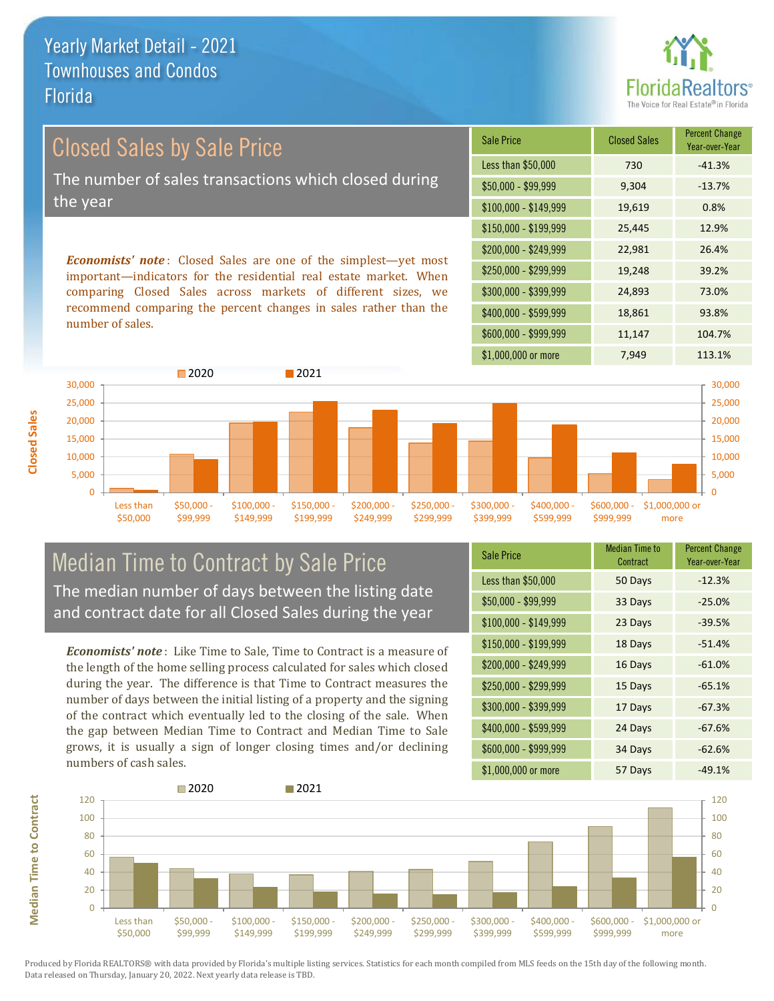

# Closed Sales by Sale Price The number of sales transactions which closed during the year

*Economists' note* : Closed Sales are one of the simplest—yet most important—indicators for the residential real estate market. When comparing Closed Sales across markets of different sizes, we recommend comparing the percent changes in sales rather than the number of sales.

| <b>Sale Price</b>     | <b>Closed Sales</b> | <b>Percent Change</b><br>Year-over-Year |
|-----------------------|---------------------|-----------------------------------------|
| Less than \$50,000    | 730                 | $-41.3%$                                |
| \$50,000 - \$99,999   | 9,304               | $-13.7%$                                |
| $$100,000 - $149,999$ | 19,619              | 0.8%                                    |
| \$150,000 - \$199,999 | 25,445              | 12.9%                                   |
| \$200,000 - \$249,999 | 22,981              | 26.4%                                   |
| \$250,000 - \$299,999 | 19,248              | 39.2%                                   |
| \$300,000 - \$399,999 | 24,893              | 73.0%                                   |
| \$400,000 - \$599,999 | 18,861              | 93.8%                                   |
| \$600,000 - \$999,999 | 11,147              | 104.7%                                  |
| \$1,000,000 or more   | 7,949               | 113.1%                                  |



#### Median Time to Contract by Sale Price The median number of days between the listing date and contract date for all Closed Sales during the year

*Economists' note* : Like Time to Sale, Time to Contract is a measure of the length of the home selling process calculated for sales which closed during the year. The difference is that Time to Contract measures the number of days between the initial listing of a property and the signing of the contract which eventually led to the closing of the sale. When the gap between Median Time to Contract and Median Time to Sale grows, it is usually a sign of longer closing times and/or declining numbers of cash sales.

| <b>Sale Price</b>     | <b>Median Time to</b><br>Contract | <b>Percent Change</b><br>Year-over-Year |
|-----------------------|-----------------------------------|-----------------------------------------|
| Less than \$50,000    | 50 Days                           | $-12.3%$                                |
| \$50,000 - \$99,999   | 33 Days                           | $-25.0%$                                |
| $$100,000 - $149,999$ | 23 Days                           | $-39.5%$                                |
| $$150,000 - $199,999$ | 18 Days                           | $-51.4%$                                |
| \$200,000 - \$249,999 | 16 Days                           | $-61.0%$                                |
| \$250,000 - \$299,999 | 15 Days                           | $-65.1%$                                |
| \$300,000 - \$399,999 | 17 Days                           | $-67.3%$                                |
| \$400,000 - \$599,999 | 24 Days                           | $-67.6%$                                |
| \$600,000 - \$999,999 | 34 Days                           | $-62.6%$                                |
| \$1,000,000 or more   | 57 Days                           | $-49.1%$                                |



Produced by Florida REALTORS® with data provided by Florida's multiple listing services. Statistics for each month compiled from MLS feeds on the 15th day of the following month. Data released on Thursday, January 20, 2022. Next yearly data release is TBD.

**Median Time to Contract**

**Median Time to Contract**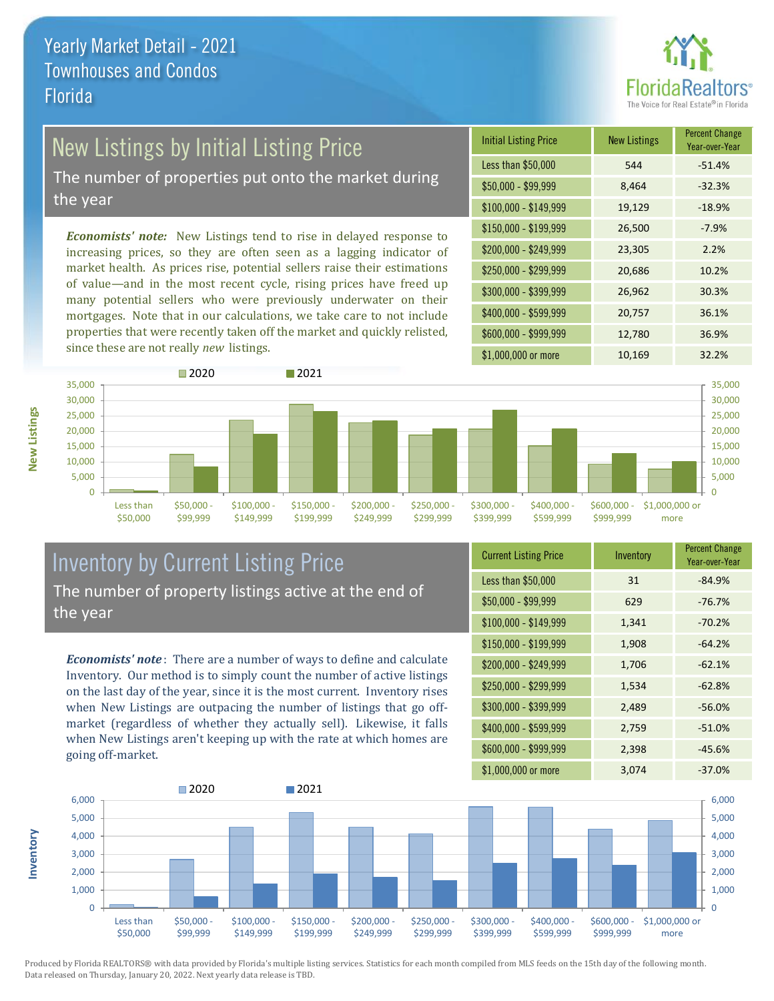

# New Listings by Initial Listing Price

The number of properties put onto the market during the year

*Economists' note:* New Listings tend to rise in delayed response to increasing prices, so they are often seen as a lagging indicator of market health. As prices rise, potential sellers raise their estimations of value—and in the most recent cycle, rising prices have freed up many potential sellers who were previously underwater on their mortgages. Note that in our calculations, we take care to not include properties that were recently taken off the market and quickly relisted, since these are not really *new* listings.

| <b>Initial Listing Price</b> | <b>New Listings</b> | <b>Percent Change</b><br>Year-over-Year |
|------------------------------|---------------------|-----------------------------------------|
| Less than \$50,000           | 544                 | $-51.4%$                                |
| $$50,000 - $99,999$          | 8,464               | $-32.3%$                                |
| $$100,000 - $149,999$        | 19,129              | $-18.9%$                                |
| \$150,000 - \$199,999        | 26,500              | $-7.9%$                                 |
| \$200,000 - \$249,999        | 23,305              | 2.2%                                    |
| \$250,000 - \$299,999        | 20,686              | 10.2%                                   |
| \$300,000 - \$399,999        | 26,962              | 30.3%                                   |
| \$400,000 - \$599,999        | 20,757              | 36.1%                                   |
| \$600,000 - \$999,999        | 12,780              | 36.9%                                   |
| \$1,000,000 or more          | 10,169              | 32.2%                                   |



#### Inventory by Current Listing Price The number of property listings active at the end of the year

*Economists' note* : There are a number of ways to define and calculate Inventory. Our method is to simply count the number of active listings on the last day of the year, since it is the most current. Inventory rises when New Listings are outpacing the number of listings that go offmarket (regardless of whether they actually sell). Likewise, it falls when New Listings aren't keeping up with the rate at which homes are going off-market.

| <b>Current Listing Price</b> | Inventory | <b>Percent Change</b><br>Year-over-Year |
|------------------------------|-----------|-----------------------------------------|
| Less than \$50,000           | 31        | $-84.9%$                                |
| $$50,000 - $99,999$          | 629       | $-76.7%$                                |
| \$100,000 - \$149,999        | 1,341     | $-70.2%$                                |
| \$150,000 - \$199,999        | 1,908     | $-64.2%$                                |
| \$200,000 - \$249,999        | 1,706     | $-62.1%$                                |
| \$250,000 - \$299,999        | 1,534     | $-62.8%$                                |
| \$300,000 - \$399,999        | 2,489     | $-56.0%$                                |
| \$400,000 - \$599,999        | 2,759     | $-51.0%$                                |
| \$600,000 - \$999,999        | 2,398     | $-45.6%$                                |
| \$1,000,000 or more          | 3,074     | $-37.0%$                                |



Produced by Florida REALTORS® with data provided by Florida's multiple listing services. Statistics for each month compiled from MLS feeds on the 15th day of the following month. Data released on Thursday, January 20, 2022. Next yearly data release is TBD.

**Inventory**